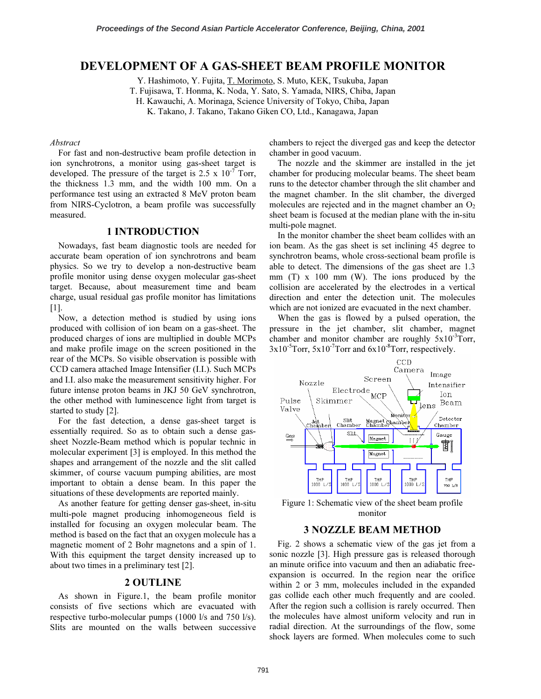# DEVELOPMENT OF A GAS-SHEET BEAM PROFILE MONITOR

Y. Hashimoto, Y. Fujita, T. Morimoto, S. Muto, KEK, Tsukuba, Japan

T. Fujisawa, T. Honma, K. Noda, Y. Sato, S. Yamada, NIRS, Chiba, Japan

H. Kawauchi, A. Morinaga, Science University of Tokyo, Chiba, Japan

K. Takano, J. Takano, Takano Giken CO, Ltd., Kanagawa, Japan

#### Abstract

For fast and non-destructive beam profile detection in ion synchrotrons, a monitor using gas-sheet target is developed. The pressure of the target is  $2.5 \times 10^{-7}$  Torr, the thickness 1.3 mm, and the width 100 mm. On a performance test using an extracted 8 MeV proton beam from NIRS-Cyclotron, a beam profile was successfully measured.

### 1 INTRODUCTION

Nowadays, fast beam diagnostic tools are needed for accurate beam operation of ion synchrotrons and beam physics. So we try to develop a non-destructive beam profile monitor using dense oxygen molecular gas-sheet target. Because, about measurement time and beam charge, usual residual gas profile monitor has limitations [1].

Now, a detection method is studied by using ions produced with collision of ion beam on a gas-sheet. The produced charges of ions are multiplied in double MCPs and make profile image on the screen positioned in the rear of the MCPs. So visible observation is possible with CCD camera attached Image Intensifier (I.I.). Such MCPs and I.I. also make the measurement sensitivity higher. For future intense proton beams in JKJ 50 GeV synchrotron, the other method with luminescence light from target is started to study [2].

For the fast detection, a dense gas-sheet target is essentially required. So as to obtain such a dense gassheet Nozzle-Beam method which is popular technic in molecular experiment [3] is employed. In this method the shapes and arrangement of the nozzle and the slit called skimmer, of course vacuum pumping abilities, are most important to obtain a dense beam. In this paper the situations of these developments are reported mainly.

As another feature for getting denser gas-sheet, in-situ multi-pole magnet producing inhomogeneous field is installed for focusing an oxygen molecular beam. The method is based on the fact that an oxygen molecule has a magnetic moment of 2 Bohr magnetons and a spin of 1. With this equipment the target density increased up to about two times in a preliminary test [2].

### 2 OUTLINE

As shown in Figure.1, the beam profile monitor consists of five sections which are evacuated with respective turbo-molecular pumps (1000 l/s and 750 l/s). Slits are mounted on the walls between successive

chambers to reject the diverged gas and keep the detector chamber in good vacuum.

The nozzle and the skimmer are installed in the jet chamber for producing molecular beams. The sheet beam runs to the detector chamber through the slit chamber and the magnet chamber. In the slit chamber, the diverged molecules are rejected and in the magnet chamber an  $O_2$ sheet beam is focused at the median plane with the in-situ multi-pole magnet.

In the monitor chamber the sheet beam collides with an ion beam. As the gas sheet is set inclining 45 degree to synchrotron beams, whole cross-sectional beam profile is able to detect. The dimensions of the gas sheet are 1.3 mm (T) x 100 mm (W). The ions produced by the collision are accelerated by the electrodes in a vertical direction and enter the detection unit. The molecules which are not ionized are evacuated in the next chamber.

When the gas is flowed by a pulsed operation, the pressure in the jet chamber, slit chamber, magnet chamber and monitor chamber are roughly  $5x10^{-3}$ Torr,  $3x10^{-5}$ Torr,  $5x10^{-7}$ Torr and  $6x10^{-8}$ Torr, respectively.



Figure 1: Schematic view of the sheet beam profile monitor

## 3 NOZZLE BEAM METHOD

Fig. 2 shows a schematic view of the gas jet from a sonic nozzle [3]. High pressure gas is released thorough an minute orifice into vacuum and then an adiabatic freeexpansion is occurred. In the region near the orifice within 2 or 3 mm, molecules included in the expanded gas collide each other much frequently and are cooled. After the region such a collision is rarely occurred. Then the molecules have almost uniform velocity and run in radial direction. At the surroundings of the flow, some shock layers are formed. When molecules come to such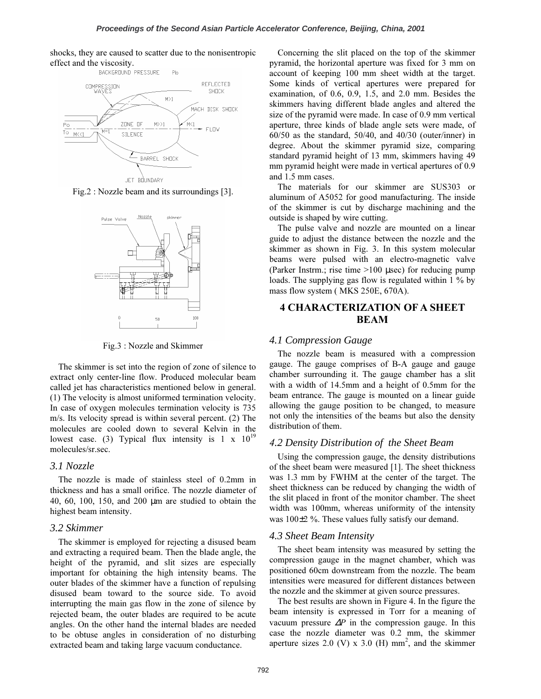shocks, they are caused to scatter due to the nonisentropic effect and the viscosity.<br>BACKGROUND PRESSURE



Fig.2 : Nozzle beam and its surroundings [3].



Fig.3 : Nozzle and Skimmer

The skimmer is set into the region of zone of silence to extract only center-line flow. Produced molecular beam called jet has characteristics mentioned below in general. (1) The velocity is almost uniformed termination velocity. In case of oxygen molecules termination velocity is 735 m/s. Its velocity spread is within several percent. (2) The molecules are cooled down to several Kelvin in the lowest case. (3) Typical flux intensity is  $1 \times 10^{19}$ molecules/sr.sec.

### *3.1 Nozzle*

The nozzle is made of stainless steel of 0.2mm in thickness and has a small orifice. The nozzle diameter of 40, 60, 100, 150, and 200 µm are studied to obtain the highest beam intensity.

### *3.2 Skimmer*

The skimmer is employed for rejecting a disused beam and extracting a required beam. Then the blade angle, the height of the pyramid, and slit sizes are especially important for obtaining the high intensity beams. The outer blades of the skimmer have a function of repulsing disused beam toward to the source side. To avoid interrupting the main gas flow in the zone of silence by rejected beam, the outer blades are required to be acute angles. On the other hand the internal blades are needed to be obtuse angles in consideration of no disturbing extracted beam and taking large vacuum conductance.

Concerning the slit placed on the top of the skimmer pyramid, the horizontal aperture was fixed for 3 mm on account of keeping 100 mm sheet width at the target. Some kinds of vertical apertures were prepared for examination, of 0.6, 0.9, 1.5, and 2.0 mm. Besides the skimmers having different blade angles and altered the size of the pyramid were made. In case of 0.9 mm vertical aperture, three kinds of blade angle sets were made, of 60/50 as the standard, 50/40, and 40/30 (outer/inner) in degree. About the skimmer pyramid size, comparing standard pyramid height of 13 mm, skimmers having 49 mm pyramid height were made in vertical apertures of 0.9 and 1.5 mm cases.

The materials for our skimmer are SUS303 or aluminum of A5052 for good manufacturing. The inside of the skimmer is cut by discharge machining and the outside is shaped by wire cutting.

The pulse valve and nozzle are mounted on a linear guide to adjust the distance between the nozzle and the skimmer as shown in Fig. 3. In this system molecular beams were pulsed with an electro-magnetic valve (Parker Instrm.; rise time >100 µsec) for reducing pump loads. The supplying gas flow is regulated within 1 % by mass flow system ( MKS 250E, 670A).

# 4 CHARACTERIZATION OF A SHEET BEAM

## *4.1 Compression Gauge*

The nozzle beam is measured with a compression gauge. The gauge comprises of B-A gauge and gauge chamber surrounding it. The gauge chamber has a slit with a width of 14.5mm and a height of 0.5mm for the beam entrance. The gauge is mounted on a linear guide allowing the gauge position to be changed, to measure not only the intensities of the beams but also the density distribution of them.

## 4*.2 Density Distribution of the Sheet Beam*

Using the compression gauge, the density distributions of the sheet beam were measured [1]. The sheet thickness was 1.3 mm by FWHM at the center of the target. The sheet thickness can be reduced by changing the width of the slit placed in front of the monitor chamber. The sheet width was 100mm, whereas uniformity of the intensity was 100±2 %. These values fully satisfy our demand.

## *4.3 Sheet Beam Intensity*

The sheet beam intensity was measured by setting the compression gauge in the magnet chamber, which was positioned 60cm downstream from the nozzle. The beam intensities were measured for different distances between the nozzle and the skimmer at given source pressures.

The best results are shown in Figure 4. In the figure the beam intensity is expressed in Torr for a meaning of vacuum pressure  $\Delta P$  in the compression gauge. In this case the nozzle diameter was 0.2 mm, the skimmer aperture sizes 2.0 (V) x 3.0 (H)  $mm<sup>2</sup>$ , and the skimmer